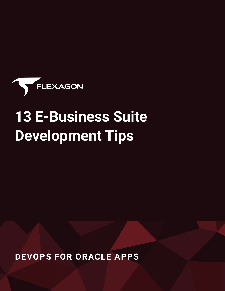

# **13 E-Business Suite Development Tips**

**DEVOPS FOR ORACLE APPS**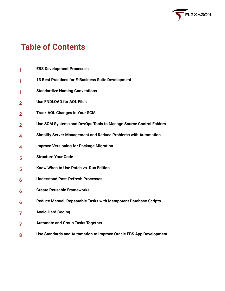

## **Table of Contents**

- **EBS Development Processes 1**
- **13 Best Practices for E-Business Suite Development 1**
- **Standardize Naming Conventions 1**
- **Use FNDLOAD for AOL Files 2**
- **Track AOL Changes in Your SCM 2**
- **Use SCM Systems and DevOps Tools to Manage Source Control Folders 2**
- **Simplify Server Management and Reduce Problems with Automation 4**
- **Improve Versioning for Package Migration 4**
- **Structure Your Code 5**
- **Know When to Use Patch vs. Run Edition 5**
- **Understand Post-Refresh Processes 6**
- **Create Reusable Frameworks 6**
- **Reduce Manual, Repeatable Tasks with Idempotent Database Scripts 6**
- **Avoid Hard Coding 7**
- **Automate and Group Tasks Together 7**
- **Use Standards and Automation to Improve Oracle EBS App Development 8**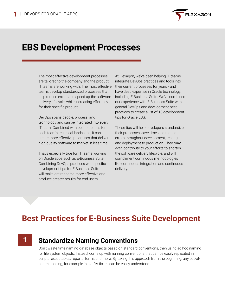

## **EBS Development Processes**

The most effective development processes are tailored to the company and the product IT teams are working with. The most effective teams develop standardized processes that help reduce errors and speed up the software delivery lifecycle, while increasing efficiency for their specific product.

DevOps spans people, process, and technology and can be integrated into every IT team. Combined with best practices for each team's technical landscape, it can create more effective processes that deliver high-quality software to market in less time.

That's especially true for IT teams working on Oracle apps such as E-Business Suite. Combining DevOps practices with specific development tips for E-Business Suite will make entire teams more effective and produce greater results for end users.

At Flexagon, we've been helping IT teams integrate DevOps practices and tools into their current processes for years - and have deep expertise in Oracle technology, including E-Business Suite. We've combined our experience with E-Business Suite with general DevOps and development best practices to create a list of 13 development tips for Oracle EBS.

These tips will help developers standardize their processes, save time, and reduce errors throughout development, testing, and deployment to production. They may even contribute to your efforts to shorten the software delivery lifecycle, and will compliment continuous methodologies like continuous integration and continuous delivery.

## **Best Practices for E-Business Suite Development**

#### **Standardize Naming Conventions** 1

Don't waste time naming database objects based on standard conventions, then using ad hoc naming for file system objects. Instead, come up with naming conventions that can be easily replicated in scripts, executables, reports, forms and more. By taking this approach from the beginning, any out-ofcontext coding, for example in a JIRA ticket, can be easily understood.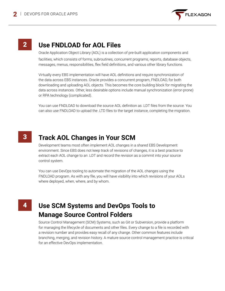

### 2 **Use FNDLOAD for AOL Files**

Oracle Application Object Library (AOL) is a collection of pre-built application components and facilities, which consists of forms, subroutines, concurrent programs, reports, database objects, messages, menus, responsibilities, flex field definitions, and various other library functions.

Virtually every EBS implementation will have AOL definitions and require synchronization of the data across EBS instances. Oracle provides a concurrent program, FNDLOAD, for both downloading and uploading AOL objects. This becomes the core building block for migrating the data across instances. Other, less desirable options include manual synchronization (error-prone) or RPA technology (complicated).

You can use FNDLOAD to download the source AOL definition as .LDT files from the source. You can also use FNDLOAD to upload the .LTD files to the target instance, completing the migration.

#### **Track AOL Changes in Your SCM** 3

Development teams most often implement AOL changes in a shared EBS Development environment. Since EBS does not keep track of revisions of changes, it is a best practice to extract each AOL change to an .LDT and record the revision as a commit into your source control system.

You can use DevOps tooling to automate the migration of the AOL changes using the FNDLOAD program. As with any file, you will have visibility into which revisions of your AOLs where deployed, when, where, and by whom.

#### 4 **Use SCM Systems and DevOps Tools to Manage Source Control Folders**

Source Control Management (SCM) Systems, such as Git or Subversion, provide a platform for managing the lifecycle of documents and other files. Every change to a file is recorded with a revision number and provides easy recall of any change. Other common features include branching, merging, and revision history. A mature source control management practice is critical for an effective DevOps implementation.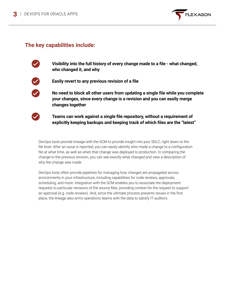

#### **The key capabilities include:**



**Visibility into the full history of every change made to a file - what changed, who changed it, and why**



**Easily revert to any previous revision of a file**



**No need to block all other users from updating a single file while you complete your changes, since every change is a revision and you can easily merge changes together** 



**Teams can work against a single file repository, without a requirement of explicitly keeping backups and keeping track of which files are the "latest"**

DevOps tools provide lineage with the SCM to provide insight into your SDLC, right down to the file level. After an issue is reported, you can easily identify who made a change to a configuration file at what time, as well as when that change was deployed to production. In comparing the change to the previous revision, you can see exactly what changed and view a description of why the change was made.

DevOps tools often provide pipelines for managing how changes are propagated across environments in your infrastructure, including capabilities for code reviews, approvals, scheduling, and more. Integration with the SCM enables you to associate the deployment requests to particular revisions of the source files, providing context for the request to support an approval (e.g. code reviews). And, since the ultimate process prevents issues in the first place, the lineage also arms operations teams with the data to satisfy IT auditors.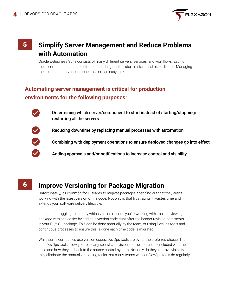

#### 5 **Simplify Server Management and Reduce Problems with Automation**

Oracle E-Business Suite consists of many different servers, services, and workflows. Each of these components requires different handling to stop, start, restart, enable, or disable. Managing these different server components is not an easy task.

#### **Automating server management is critical for production environments for the following purposes:**

Determining which server/component to start instead of starting/stopping/ restarting all the servers



Reducing downtime by replacing manual processes with automation

Combining with deployment operations to ensure deployed changes go into effect

Adding approvals and/or notifications to increase control and visibility

6

#### **Improve Versioning for Package Migration**

Unfortunately, it's common for IT teams to migrate packages, then find out that they aren't working with the latest version of the code. Not only is that frustrating, it wastes time and extends your software delivery lifecycle.

Instead of struggling to identify which version of code you're working with, make reviewing package versions easier by adding a version code right after the header revision comments in your PL/SQL package. This can be done manually by the team, or using DevOps tools and continuous processes to ensure this is done each time code is migrated.

While some companies use version codes, DevOps tools are by far the preferred choice. The best DevOps tools allow you to clearly see what revisions of the source are included with the build and how they tie back to the source control system. Not only do they improve visibility, but they eliminate the manual versioning tasks that many teams without DevOps tools do regularly.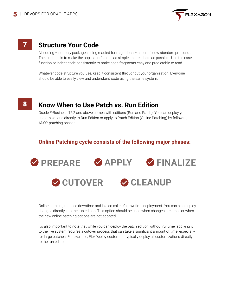

### **Structure Your Code**

All coding – not only packages being readied for migrations – should follow standard protocols. The aim here is to make the application's code as simple and readable as possible. Use the case function or indent code consistently to make code fragments easy and predictable to read.

Whatever code structure you use, keep it consistent throughout your organization. Everyone should be able to easily view and understand code using the same system.

#### **Know When to Use Patch vs. Run Edition** 8

Oracle E-Business 12.2 and above comes with editions (Run and Patch). You can deploy your customizations directly to Run Edition or apply to Patch Edition (Online Patching) by following ADOP patching phases.

#### **Online Patching cycle consists of the following major phases:**



Online patching reduces downtime and is also called 0 downtime deployment. You can also deploy changes directly into the run edition. This option should be used when changes are small or when the new online patching options are not adopted.

It's also important to note that while you can deploy the patch edition without runtime, applying it to the live system requires a cutover process that can take a significant amount of time, especially for large patches. For example, FlexDeploy customers typically deploy all customizations directly to the run edition.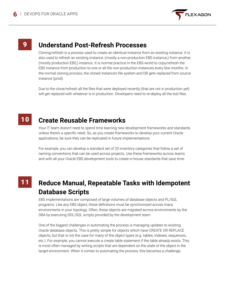

#### 9 **Understand Post-Refresh Processes**

Cloning/refresh is a process used to create an identical instance from an existing instance. It is also used to refresh an existing instance, (mostly a non-production EBS instance,) from another, (mostly production EBS,) instance. It is normal practice in the EBS-world to copy/refresh the EBS instance from production to one or all the non-production instances every few months. In the normal cloning process, the cloned instance's file system and DB gets replaced from source instance (prod).

Due to the clone/refresh all the files that were deployed recently (that are not in production yet) will get replaced with whatever is in production. Developers need to re-deploy all the lost files.

#### **Create Reusable Frameworks** 10

Your IT team doesn't need to spend time learning new development frameworks and standards unless there's a specific need. So, as you create frameworks to develop your current Oracle applications, be sure they can be replicated in future implementations.

For example, you can develop a standard set of 20 inventory categories that follow a set of naming conventions that can be used across projects. Use these frameworks across teams and with all your Oracle EBS development tools to create in-house standards that save time.

## 11

#### **Reduce Manual, Repeatable Tasks with Idempotent Database Scripts**

EBS implementations are composed of large volumes of database objects and PL/SQL programs. Like any EBS object, these definitions must be synchronized across many environments in your topology. Often, these objects are migrated across environments by the DBA by executing DDL/SQL scripts provided by the development team.

One of the biggest challenges in automating the process is managing updates to existing Oracle database objects. This is pretty simple for objects which have CREATE OR REPLACE objects, but that is not the case for many of the object types (e.g. tables, indexes, sequences, etc.). For example, you cannot execute a create table statement if the table already exists. This is most often managed by writing scripts that are dependent on the state of the object in the target environment. When it comes to automating the process, this becomes a challenge.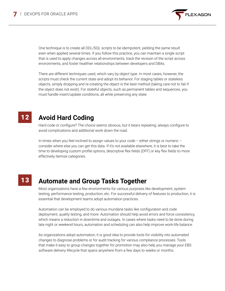

One technique is to create all DDL/SQL scripts to be idempotent, yielding the same result even when applied several times. If you follow this practice, you can maintain a single script that is used to apply changes across all environments, track the revision of the script across environments, and foster healthier relationships between developers and DBAs.

There are different techniques used, which vary by object type. In most cases, however, the scripts must check the current state and adopt its behavior. For staging tables or stateless objects, simply dropping and re-creating the object is the best method (taking care not to fail if the object does not exist). For stateful objects, such as permanent tables and sequences, you must handle insert/update conditions, all while preserving any state.

#### **Avoid Hard Coding** 12

Hard code or configure? The choice seems obvious, but it bears repeating: always configure to avoid complications and additional work down the road.

In times when you feel inclined to assign values to your code – either strings or numeric – consider where else you can get this data. If it's not available elsewhere, it is best to take the time to developing custom profile options, descriptive flex fields (DFF) or key flex fields to more effectively itemize categories.

#### 13

#### **Automate and Group Tasks Together**

Most organizations have a few environments for various purposes like development, system testing, performance testing, production, etc. For successful delivery of features to production, it is essential that development teams adopt automation practices.

Automation can be employed to do various mundane tasks like configuration and code deployment, quality testing, and more. Automation should help avoid errors and force consistency, which means a reduction in downtime and outages. In cases where tasks need to be done during late night or weekend hours, automation and scheduling can also help improve work-life balance.

As organizations adopt automation, it is good idea to provide tools for visibility into automated changes to diagnose problems or for audit tracking for various compliance processes. Tools that make it easy to group changes together for promotion may also help you manage your EBS software delivery lifecycle that spans anywhere from a few days to weeks or months.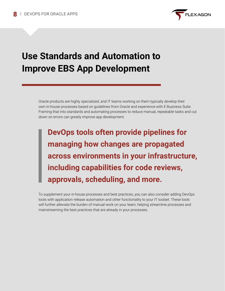

## **Use Standards and Automation to Improve EBS App Development**

Oracle products are highly specialized, and IT teams working on them typically develop their own in-house processes based on guidelines from Oracle and experience with E-Business Suite. Framing that into standards and automating processes to reduce manual, repeatable tasks and cut down on errors can greatly improve app development.

**DevOps tools often provide pipelines for managing how changes are propagated across environments in your infrastructure, including capabilities for code reviews, approvals, scheduling, and more.**

To supplement your in-house processes and best practices, you can also consider adding DevOps tools with application release automation and other functionality to your IT toolset. These tools will further alleviate the burden of manual work on your team, helping streamline processes and mainstreaming the best practices that are already in your processes.